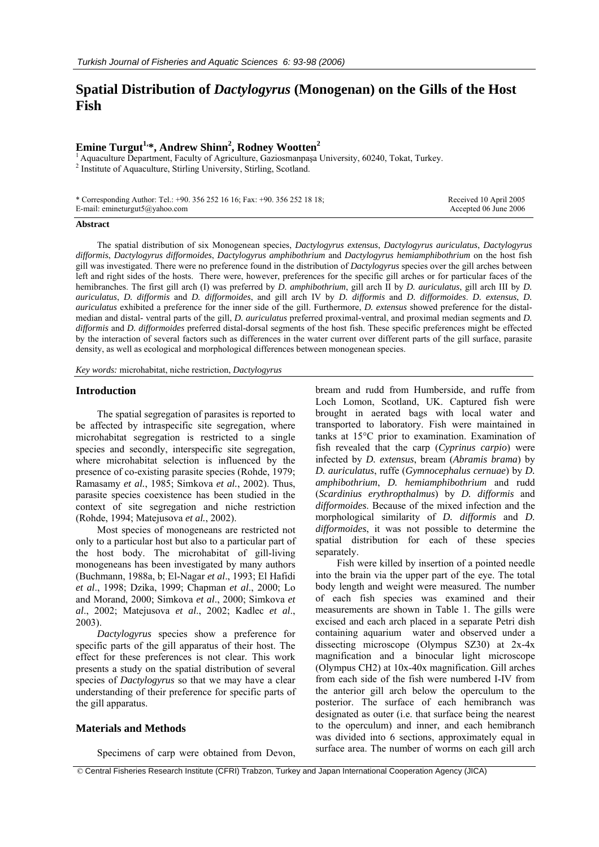# **Spatial Distribution of** *Dactylogyrus* **(Monogenan) on the Gills of the Host Fish**

## **Emine Turgut1,\*, Andrew Shinn2 , Rodney Wootten<sup>2</sup>**

<sup>1</sup> Aquaculture Department, Faculty of Agriculture, Gaziosmanpaşa University, 60240, Tokat, Turkey. <sup>2</sup> Institute of Aquaculture, Stirling University, Stirling, Scotland.

| * Corresponding Author: Tel.: +90. 356 252 16 16; Fax: +90. 356 252 18 18; |  |
|----------------------------------------------------------------------------|--|
| E-mail: emineturgut5@yahoo.com                                             |  |

 Received 10 April 2005 Accepted 06 June 2006

## **Abstract**

The spatial distribution of six Monogenean species, *Dactylogyrus extensus*, *Dactylogyrus auriculatus*, *Dactylogyrus difformis*, *Dactylogyrus difformoides*, *Dactylogyrus amphibothrium* and *Dactylogyrus hemiamphibothrium* on the host fish gill was investigated. There were no preference found in the distribution of *Dactylogyrus* species over the gill arches between left and right sides of the hosts. There were, however, preferences for the specific gill arches or for particular faces of the hemibranches. The first gill arch (I) was preferred by *D. amphibothrium*, gill arch II by *D. auriculatus*, gill arch III by *D. auriculatus*, *D. difformis* and *D. difformoides*, and gill arch IV by *D. difformis* and *D. difformoides*. *D. extensus*, *D. auriculatus* exhibited a preference for the inner side of the gill. Furthermore, *D. extensus* showed preference for the distalmedian and distal- ventral parts of the gill, *D. auriculatus* preferred proximal-ventral, and proximal median segments and *D. difformis* and *D. difformoides* preferred distal-dorsal segments of the host fish. These specific preferences might be effected by the interaction of several factors such as differences in the water current over different parts of the gill surface, parasite density, as well as ecological and morphological differences between monogenean species.

*Key words:* microhabitat, niche restriction, *Dactylogyrus*

## **Introduction**

The spatial segregation of parasites is reported to be affected by intraspecific site segregation, where microhabitat segregation is restricted to a single species and secondly, interspecific site segregation, where microhabitat selection is influenced by the presence of co-existing parasite species (Rohde, 1979; Ramasamy *et al.*, 1985; Simkova *et al.*, 2002). Thus, parasite species coexistence has been studied in the context of site segregation and niche restriction (Rohde, 1994; Matejusova *et al.*, 2002).

Most species of monogeneans are restricted not only to a particular host but also to a particular part of the host body. The microhabitat of gill-living monogeneans has been investigated by many authors (Buchmann, 1988a, b; El-Nagar *et al*., 1993; El Hafidi *et al*., 1998; Dzika, 1999; Chapman *et al*., 2000; Lo and Morand, 2000; Simkova *et al*., 2000; Simkova *et al*., 2002; Matejusova *et al*., 2002; Kadlec *et al*., 2003).

*Dactylogyrus* species show a preference for specific parts of the gill apparatus of their host. The effect for these preferences is not clear. This work presents a study on the spatial distribution of several species of *Dactylogyrus* so that we may have a clear understanding of their preference for specific parts of the gill apparatus.

## **Materials and Methods**

Specimens of carp were obtained from Devon,

bream and rudd from Humberside, and ruffe from Loch Lomon, Scotland, UK. Captured fish were brought in aerated bags with local water and transported to laboratory. Fish were maintained in tanks at 15°C prior to examination. Examination of fish revealed that the carp (*Cyprinus carpio*) were infected by *D. extensus*, bream (*Abramis brama*) by *D. auriculatus*, ruffe (*Gymnocephalus cernuae*) by *D. amphibothrium*, *D. hemiamphibothrium* and rudd (*Scardinius erythropthalmus*) by *D. difformis* and *difformoides*. Because of the mixed infection and the morphological similarity of *D. difformis* and *D. difformoides*, it was not possible to determine the spatial distribution for each of these species separately.

Fish were killed by insertion of a pointed needle into the brain via the upper part of the eye. The total body length and weight were measured. The number of each fish species was examined and their measurements are shown in Table 1. The gills were excised and each arch placed in a separate Petri dish containing aquarium water and observed under a dissecting microscope (Olympus SZ30) at 2x-4x magnification and a binocular light microscope (Olympus CH2) at 10x-40x magnification. Gill arches from each side of the fish were numbered I-IV from the anterior gill arch below the operculum to the posterior. The surface of each hemibranch was designated as outer (i.e. that surface being the nearest to the operculum) and inner, and each hemibranch was divided into 6 sections, approximately equal in surface area. The number of worms on each gill arch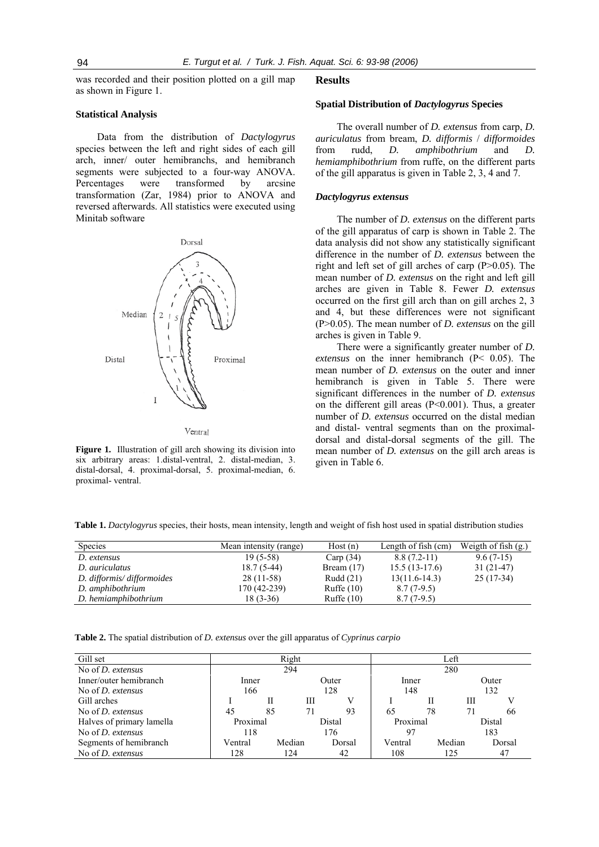was recorded and their position plotted on a gill map as shown in Figure 1.

## **Statistical Analysis**

Data from the distribution of *Dactylogyrus* species between the left and right sides of each gill arch, inner/ outer hemibranchs, and hemibranch segments were subjected to a four-way ANOVA. Percentages were transformed by arcsine transformation (Zar, 1984) prior to ANOVA and reversed afterwards. All statistics were executed using Minitab software



Figure 1. Illustration of gill arch showing its division into six arbitrary areas: 1.distal-ventral, 2. distal-median, 3.

proximal- ventral.

distal-dorsal, 4. proximal-dorsal, 5. proximal-median, 6.

#### **Results**

## **Spatial Distribution of** *Dactylogyrus* **Species**

The overall number of *D. extensus* from carp, *D. auriculatus* from bream, *D. difformis* / *difformoides* from rudd, *D. amphibothrium* and *D. hemiamphibothrium* from ruffe, on the different parts of the gill apparatus is given in Table 2, 3, 4 and 7.

#### *Dactylogyrus extensus*

The number of *D. extensus* on the different parts of the gill apparatus of carp is shown in Table 2. The data analysis did not show any statistically significant difference in the number of *D. extensus* between the right and left set of gill arches of carp (P>0.05). The mean number of *D. extensus* on the right and left gill arches are given in Table 8. Fewer *D. extensus* occurred on the first gill arch than on gill arches 2, 3 and 4, but these differences were not significant (P>0.05). The mean number of *D. extensus* on the gill arches is given in Table 9.

There were a significantly greater number of *D. extensus* on the inner hemibranch (P< 0.05). The mean number of *D. extensus* on the outer and inner hemibranch is given in Table 5. There were significant differences in the number of *D. extensus* on the different gill areas (P<0.001). Thus, a greater number of *D. extensus* occurred on the distal median and distal- ventral segments than on the proximaldorsal and distal-dorsal segments of the gill. The mean number of *D. extensus* on the gill arch areas is given in Table 6.

**Table 1.** *Dactylogyrus* species, their hosts, mean intensity, length and weight of fish host used in spatial distribution studies

| Species                   | Mean intensity (range) | Host(n)      | Length of fish (cm) | Weigth of fish $(gr)$ |
|---------------------------|------------------------|--------------|---------------------|-----------------------|
| D. extensus               | $19(5-58)$             | Carp $(34)$  | $8.8(7.2-11)$       | $9.6(7-15)$           |
| D. auriculatus            | $18.7(5-44)$           | Bream $(17)$ | $15.5(13-17.6)$     | $31(21-47)$           |
| D. difformis/difformoides | $28(11-58)$            | Rudd $(21)$  | $13(11.6-14.3)$     | $25(17-34)$           |
| D. amphibothrium          | 170 (42-239)           | Ruffe $(10)$ | $8.7(7-9.5)$        |                       |
| D. hemiamphibothrium      | $18(3-36)$             | Ruffe $(10)$ | $8.7(7-9.5)$        |                       |

**Table 2.** The spatial distribution of *D. extensus* over the gill apparatus of *Cyprinus carpio* 

| Gill set                  | Right          |    |        |     |        |          |    | ∟eft   |        |        |
|---------------------------|----------------|----|--------|-----|--------|----------|----|--------|--------|--------|
| No of $D$ , extensus      |                |    | 294    |     |        | 280      |    |        |        |        |
| Inner/outer hemibranch    | Outer<br>Inner |    |        |     | Inner  |          |    | Outer  |        |        |
| No of <i>D.</i> extensus  | 166            |    |        | 128 |        | 148      |    |        | 132    |        |
| Gill arches               |                | Н  |        | Ш   |        |          | Н  |        | Ш      |        |
| No of <i>D.</i> extensus  | 45             | 85 |        | 71  | 93     | 65       | 78 |        |        | 66     |
| Halves of primary lamella | Proximal       |    |        |     | Distal | Proximal |    |        | Distal |        |
| No of $D$ , extensus      | 118            |    |        | 176 |        | 97       |    |        | 183    |        |
| Segments of hemibranch    | Ventral        |    | Median |     | Dorsal | Ventral  |    | Median |        | Dorsal |
| No of <i>D. extensus</i>  | 128            |    | 124    |     | 42     | 108      |    | 125    |        | 47     |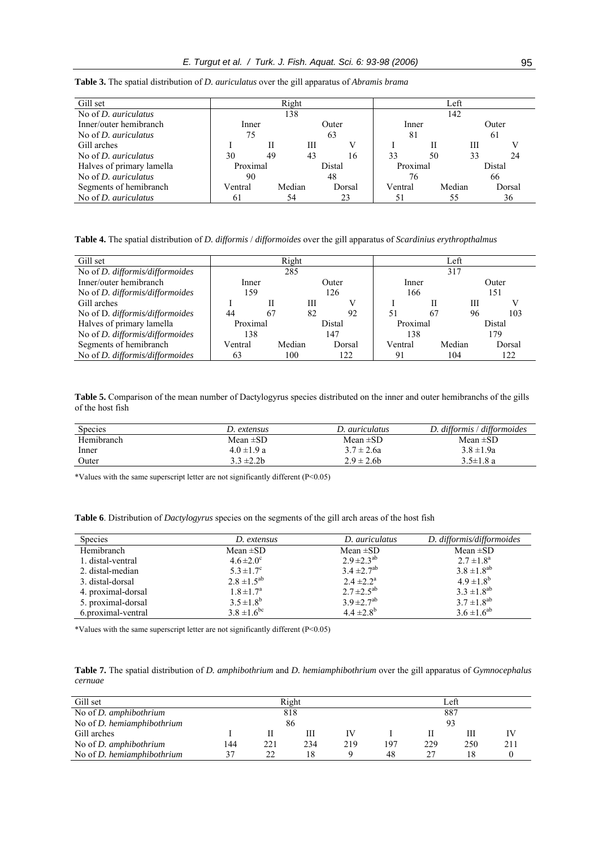| Gill set                    | Right    |    |        |        |        | Left     |    |        |        |        |
|-----------------------------|----------|----|--------|--------|--------|----------|----|--------|--------|--------|
| No of <i>D. auriculatus</i> |          |    | 138    |        |        | 142      |    |        |        |        |
| Inner/outer hemibranch      | Inner    |    |        |        | Outer  | Inner    |    |        |        | Outer  |
| No of <i>D. auriculatus</i> | 75       |    |        | 63     |        | 81       |    |        | 61     |        |
| Gill arches                 |          |    | Ш      |        |        |          | Н  |        | Ш      |        |
| No of <i>D. auriculatus</i> | 30       | 49 | 43     |        | 16     | 33       | 50 |        | 33     | 24     |
| Halves of primary lamella   | Proximal |    |        | Distal |        | Proximal |    |        | Distal |        |
| No of <i>D. auriculatus</i> | 90       |    |        | 48     |        | 76       |    |        | 66     |        |
| Segments of hemibranch      | Ventral  |    | Median |        | Dorsal | Ventral  |    | Median |        | Dorsal |
| No of <i>D. auriculatus</i> | 61       |    | 54     |        | 23     | 51       |    | 55     |        | 36     |

**Table 3.** The spatial distribution of *D. auriculatus* over the gill apparatus of *Abramis brama* 

**Table 4.** The spatial distribution of *D. difformis* / *difformoides* over the gill apparatus of *Scardinius erythropthalmus*

| Gill set                               | Right    |    |        |        | Left   |          |    |        |        |        |
|----------------------------------------|----------|----|--------|--------|--------|----------|----|--------|--------|--------|
| No of <i>D. difformis/difformoides</i> |          |    | 285    |        |        | 317      |    |        |        |        |
| Inner/outer hemibranch                 | Inner    |    |        |        | Outer  | Inner    |    |        | Outer  |        |
| No of <i>D. difformis/difformoides</i> | 159      |    |        | 126    |        | 166      |    |        | 151    |        |
| Gill arches                            |          |    | Ш      |        |        |          | Н  |        | Ш      |        |
| No of D. difformis/difformoides        | 44       | 67 | 82     |        | 92     | 51       | 67 |        | 96     | 103    |
| Halves of primary lamella              | Proximal |    |        | Distal |        | Proximal |    |        | Distal |        |
| No of <i>D. difformis/difformoides</i> | 138      |    |        |        | 147    | 138      |    |        |        | 179    |
| Segments of hemibranch                 | Ventral  |    | Median |        | Dorsal | Ventral  |    | Median |        | Dorsal |
| No of D. difformis/difformoides        | 63       |    | 100    |        | 122    | 91       |    | 104    |        | 122    |

**Table 5.** Comparison of the mean number of Dactylogyrus species distributed on the inner and outer hemibranchs of the gills of the host fish

| Species    | D. extensus     | D. auriculatus  | D. difformis / difformoides |
|------------|-----------------|-----------------|-----------------------------|
| Hemibranch | Mean $\pm$ SD   | Mean $\pm SD$   | Mean $\pm$ SD               |
| Inner      | $4.0 \pm 1.9 a$ | $3.7 \pm 2.6a$  | $3.8 \pm 1.9a$              |
| Outer      | $3.3 \pm 2.2b$  | $2.9 \pm 2.6$ b | $3.5 \pm 1.8$ a             |

\*Values with the same superscript letter are not significantly different (P<0.05)

**Table 6**. Distribution of *Dactylogyrus* species on the segments of the gill arch areas of the host fish

| <b>Species</b>     | D. extensus            | D. auriculatus     | D. difformis/difformoides |
|--------------------|------------------------|--------------------|---------------------------|
| Hemibranch         | Mean $\pm SD$          | Mean $\pm SD$      | Mean $\pm SD$             |
| 1. distal-ventral  | $4.6 \pm 2.0^{\circ}$  | $2.9 \pm 2.3^{ab}$ | $2.7 \pm 1.8^a$           |
| 2. distal-median   | $5.3 \pm 1.7^{\circ}$  | $3.4 \pm 2.7^{ab}$ | $3.8 \pm 1.8^{ab}$        |
| 3. distal-dorsal   | $2.8 \pm 1.5^{ab}$     | $2.4 \pm 2.2^a$    | $4.9 \pm 1.8^{b}$         |
| 4. proximal-dorsal | $1.8 \pm 1.7^a$        | $2.7 \pm 2.5^{ab}$ | $3.3 \pm 1.8^{ab}$        |
| 5. proximal-dorsal | $3.5 \pm 1.8^b$        | $3.9 \pm 2.7^{ab}$ | $3.7 \pm 1.8^{ab}$        |
| 6.proximal-ventral | $3.8 \pm 1.6^{\rm bc}$ | $4.4 \pm 2.8^{b}$  | $3.6 \pm 1.6^{ab}$        |

\*Values with the same superscript letter are not significantly different (P<0.05)

**Table 7.** The spatial distribution of *D. amphibothrium* and *D. hemiamphibothrium* over the gill apparatus of *Gymnocephalus cernuae* 

| Gill set                          |            | Left |     |     |     |     |     |     |  |
|-----------------------------------|------------|------|-----|-----|-----|-----|-----|-----|--|
| No of <i>D. amphibothrium</i>     | 818<br>887 |      |     |     |     |     |     |     |  |
| No of <i>D. hemiamphibothrium</i> |            | 86   |     |     |     | 93  |     |     |  |
| Gill arches                       |            |      |     |     |     | Н   | Ш   | IV  |  |
| No of $D$ . amphibothrium         | 144        | 221  | 234 | 219 | 197 | 229 | 250 | 211 |  |
| No of <i>D. hemiamphibothrium</i> |            | 22   |     |     | 48  | 27  | 18  |     |  |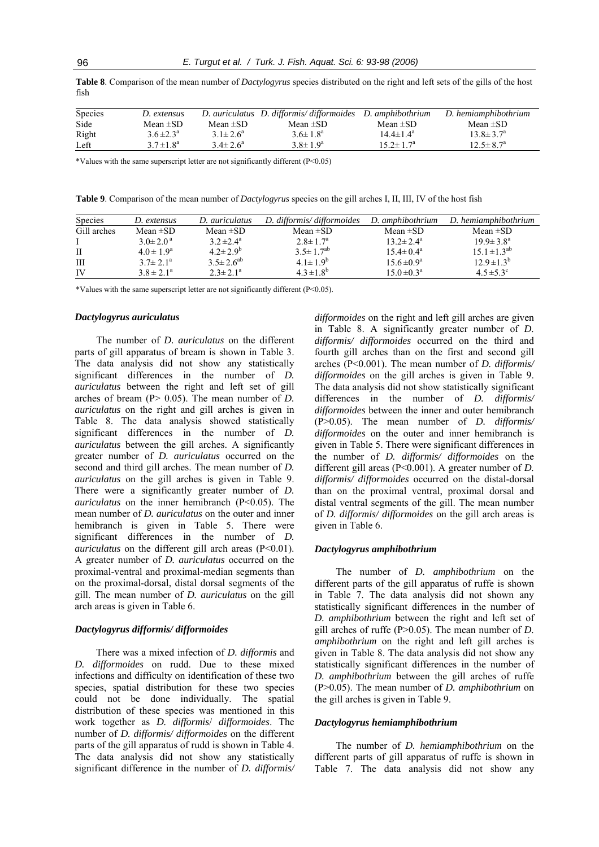**Table 8**. Comparison of the mean number of *Dactylogyrus* species distributed on the right and left sets of the gills of the host fish

| Species | D. extensus     |                 | D. auriculatus D. difformis/difformoides D. amphibothrium |                        | D. hemiamphibothrium   |
|---------|-----------------|-----------------|-----------------------------------------------------------|------------------------|------------------------|
| Side    | Mean $\pm$ SD   | Mean $\pm$ SD   | Mean $\pm$ SD                                             | Mean $\pm$ SD          | Mean $\pm$ SD          |
| Right   | $3.6 \pm 2.3^a$ | $3.1 \pm 2.6^a$ | $3.6 \pm 1.8^a$                                           | $14.4 \pm 1.4^{\circ}$ | $13.8 \pm 3.7^{\circ}$ |
| Left    | $3.7 \pm 1.8^a$ | $3.4 \pm 2.6^a$ | $3.8 \pm 1.9^a$                                           | $15.2 \pm 1.7^{\circ}$ | $12.5 \pm 8.7^{\circ}$ |

\*Values with the same superscript letter are not significantly different (P<0.05)

**Table 9**. Comparison of the mean number of *Dactylogyrus* species on the gill arches I, II, III, IV of the host fish

| Species     | D. extensus              | D. auriculatus     | D. difformis/difformoides | D. amphibothrium          | D. hemiamphibothrium |
|-------------|--------------------------|--------------------|---------------------------|---------------------------|----------------------|
| Gill arches | Mean $\pm$ SD            | Mean $\pm SD$      | Mean $\pm SD$             | Mean $\pm SD$             | Mean $\pm SD$        |
|             | $3.0 \pm 2.0^{\text{a}}$ | $3.2 \pm 2.4^a$    | $2.8 \pm 1.7^a$           | $13.2 \pm 2.4^{\circ}$    | $19.9 \pm 3.8^a$     |
| П           | $4.0 \pm 1.9^a$          | $4.2 \pm 2.9^{b}$  | $3.5 \pm 1.7^{ab}$        | $15.4 \pm 0.4^{\circ}$    | $15.1 \pm 1.3^{ab}$  |
| Ш           | $3.7 \pm 2.1^{\circ}$    | $3.5 \pm 2.6^{ab}$ | $4.1 \pm 1.9^{b}$         | $15.6 \pm 0.9^a$          | $12.9 \pm 1.3^{b}$   |
| IV          | $3.8 \pm 2.1^a$          | $2.3 \pm 2.1^a$    | $4.3 \pm 1.8^{b}$         | $15.0 \pm 0.3^{\text{a}}$ | $4.5 \pm 5.3$ °      |

\*Values with the same superscript letter are not significantly different (P<0.05).

### *Dactylogyrus auriculatus*

The number of *D. auriculatus* on the different parts of gill apparatus of bream is shown in Table 3. The data analysis did not show any statistically significant differences in the number of *D. auriculatus* between the right and left set of gill arches of bream (P> 0.05). The mean number of *D. auriculatus* on the right and gill arches is given in Table 8. The data analysis showed statistically significant differences in the number of *D. auriculatus* between the gill arches. A significantly greater number of *D. auriculatus* occurred on the second and third gill arches. The mean number of *D. auriculatus* on the gill arches is given in Table 9. There were a significantly greater number of *D. auriculatus* on the inner hemibranch (P<0.05). The mean number of *D. auriculatus* on the outer and inner hemibranch is given in Table 5. There were significant differences in the number of *D. auriculatus* on the different gill arch areas (P<0.01). A greater number of *D. auriculatus* occurred on the proximal-ventral and proximal-median segments than on the proximal-dorsal, distal dorsal segments of the gill. The mean number of *D. auriculatus* on the gill arch areas is given in Table 6.

## *Dactylogyrus difformis/ difformoides*

There was a mixed infection of *D. difformis* and *D. difformoides* on rudd. Due to these mixed infections and difficulty on identification of these two species, spatial distribution for these two species could not be done individually. The spatial distribution of these species was mentioned in this work together as *D. difformis*/ *difformoides*. The number of *D. difformis/ difformoides* on the different parts of the gill apparatus of rudd is shown in Table 4. The data analysis did not show any statistically significant difference in the number of *D. difformis/*  *difformoides* on the right and left gill arches are given in Table 8. A significantly greater number of *D. difformis/ difformoides* occurred on the third and fourth gill arches than on the first and second gill arches (P<0.001). The mean number of *D. difformis/ difformoides* on the gill arches is given in Table 9. The data analysis did not show statistically significant differences in the number of *D. difformis/ difformoides* between the inner and outer hemibranch (P>0.05). The mean number of *D. difformis/ difformoides* on the outer and inner hemibranch is given in Table 5. There were significant differences in the number of *D. difformis/ difformoides* on the different gill areas (P<0.001). A greater number of *D. difformis/ difformoides* occurred on the distal-dorsal than on the proximal ventral, proximal dorsal and distal ventral segments of the gill. The mean number of *D. difformis/ difformoides* on the gill arch areas is given in Table 6.

## *Dactylogyrus amphibothrium*

The number of *D. amphibothrium* on the different parts of the gill apparatus of ruffe is shown in Table 7. The data analysis did not shown any statistically significant differences in the number of *D. amphibothrium* between the right and left set of gill arches of ruffe (P>0.05). The mean number of *D. amphibothrium* on the right and left gill arches is given in Table 8. The data analysis did not show any statistically significant differences in the number of *D. amphibothrium* between the gill arches of ruffe (P>0.05). The mean number of *D. amphibothrium* on the gill arches is given in Table 9.

## *Dactylogyrus hemiamphibothrium*

The number of *D. hemiamphibothrium* on the different parts of gill apparatus of ruffe is shown in Table 7. The data analysis did not show any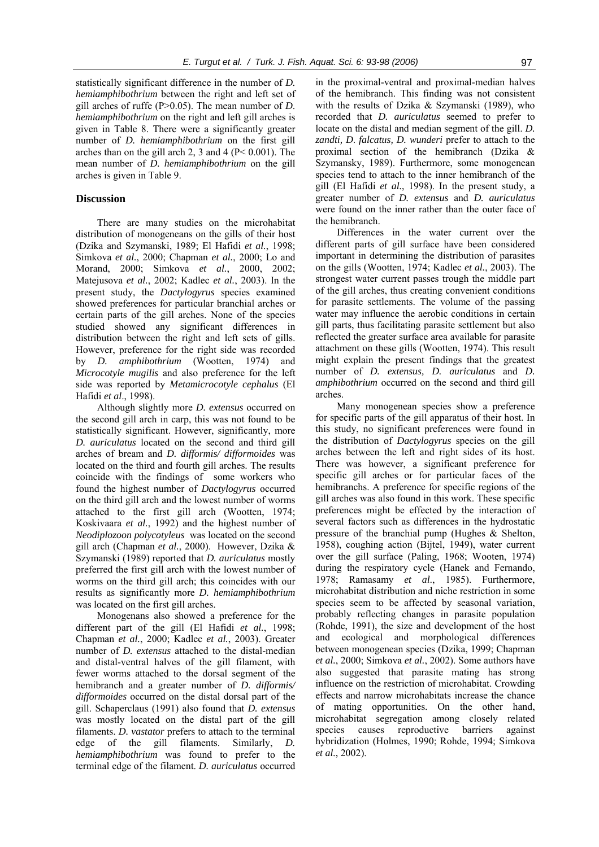statistically significant difference in the number of *D. hemiamphibothrium* between the right and left set of gill arches of ruffe (P>0.05). The mean number of *D*. *hemiamphibothrium* on the right and left gill arches is given in Table 8. There were a significantly greater number of *D. hemiamphibothrium* on the first gill arches than on the gill arch 2, 3 and 4 ( $P < 0.001$ ). The mean number of *D. hemiamphibothrium* on the gill arches is given in Table 9.

## **Discussion**

There are many studies on the microhabitat distribution of monogeneans on the gills of their host (Dzika and Szymanski, 1989; El Hafidi *et al.*, 1998; Simkova *et al.*, 2000; Chapman *et al.*, 2000; Lo and Morand, 2000; Simkova *et al.*, 2000, 2002; Matejusova *et al.*, 2002; Kadlec *et al.*, 2003). In the present study, the *Dactylogyrus* species examined showed preferences for particular branchial arches or certain parts of the gill arches. None of the species studied showed any significant differences in distribution between the right and left sets of gills. However, preference for the right side was recorded by *D. amphibothrium* (Wootten, 1974) and *Microcotyle mugilis* and also preference for the left side was reported by *Metamicrocotyle cephalus* (El Hafidi *et al*., 1998).

Although slightly more *D. extensus* occurred on the second gill arch in carp, this was not found to be statistically significant. However, significantly, more *D. auriculatus* located on the second and third gill arches of bream and *D. difformis/ difformoides* was located on the third and fourth gill arches. The results coincide with the findings of some workers who found the highest number of *Dactylogyrus* occurred on the third gill arch and the lowest number of worms attached to the first gill arch (Wootten, 1974; Koskivaara *et al.*, 1992) and the highest number of *Neodiplozoon polycotyleus* was located on the second gill arch (Chapman *et al.*, 2000). However, Dzika & Szymanski (1989) reported that *D. auriculatus* mostly preferred the first gill arch with the lowest number of worms on the third gill arch; this coincides with our results as significantly more *D. hemiamphibothrium* was located on the first gill arches.

Monogenans also showed a preference for the different part of the gill (El Hafidi *et al.*, 1998; Chapman *et al.*, 2000; Kadlec *et al.*, 2003). Greater number of *D. extensus* attached to the distal-median and distal-ventral halves of the gill filament, with fewer worms attached to the dorsal segment of the hemibranch and a greater number of *D. difformis/ difformoides* occurred on the distal dorsal part of the gill. Schaperclaus (1991) also found that *D. extensus* was mostly located on the distal part of the gill filaments. *D. vastator* prefers to attach to the terminal edge of the gill filaments. Similarly, *D. hemiamphibothrium* was found to prefer to the terminal edge of the filament. *D. auriculatus* occurred

in the proximal-ventral and proximal-median halves of the hemibranch. This finding was not consistent with the results of Dzika & Szymanski (1989), who recorded that *D. auriculatus* seemed to prefer to locate on the distal and median segment of the gill. *D. zandti, D*. *falcatus, D. wunderi* prefer to attach to the proximal section of the hemibranch (Dzika & Szymansky, 1989). Furthermore, some monogenean species tend to attach to the inner hemibranch of the gill (El Hafidi *et al.*, 1998). In the present study, a greater number of *D. extensus* and *D. auriculatus* were found on the inner rather than the outer face of the hemibranch.

Differences in the water current over the different parts of gill surface have been considered important in determining the distribution of parasites on the gills (Wootten, 1974; Kadlec *et al.*, 2003). The strongest water current passes trough the middle part of the gill arches, thus creating convenient conditions for parasite settlements. The volume of the passing water may influence the aerobic conditions in certain gill parts, thus facilitating parasite settlement but also reflected the greater surface area available for parasite attachment on these gills (Wootten, 1974). This result might explain the present findings that the greatest number of *D. extensus, D. auriculatus* and *D. amphibothrium* occurred on the second and third gill arches.

Many monogenean species show a preference for specific parts of the gill apparatus of their host. In this study, no significant preferences were found in the distribution of *Dactylogyrus* species on the gill arches between the left and right sides of its host. There was however, a significant preference for specific gill arches or for particular faces of the hemibranchs. A preference for specific regions of the gill arches was also found in this work. These specific preferences might be effected by the interaction of several factors such as differences in the hydrostatic pressure of the branchial pump (Hughes & Shelton, 1958), coughing action (Bijtel, 1949), water current over the gill surface (Paling, 1968; Wooten, 1974) during the respiratory cycle (Hanek and Fernando, 1978; Ramasamy *et al*., 1985). Furthermore, microhabitat distribution and niche restriction in some species seem to be affected by seasonal variation, probably reflecting changes in parasite population (Rohde, 1991), the size and development of the host and ecological and morphological differences between monogenean species (Dzika, 1999; Chapman *et al.*, 2000; Simkova *et al.*, 2002). Some authors have also suggested that parasite mating has strong influence on the restriction of microhabitat. Crowding effects and narrow microhabitats increase the chance of mating opportunities. On the other hand, microhabitat segregation among closely related species causes reproductive barriers against hybridization (Holmes, 1990; Rohde, 1994; Simkova *et al.*, 2002).